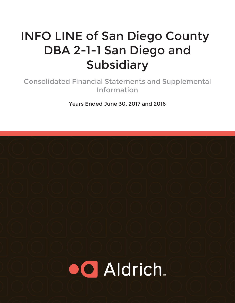# INFO LINE of San Diego County DBA 2-1-1 San Diego and **Subsidiary**

Consolidated Financial Statements and Supplemental Information

Years Ended June 30, 2017 and 2016

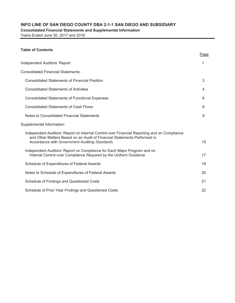**Consolidated Financial Statements and Supplemental Information** 

Years Ended June 30, 2017 and 2016

## **Table of Contents**

|                                                                                                                                                                                                                          | Page |
|--------------------------------------------------------------------------------------------------------------------------------------------------------------------------------------------------------------------------|------|
| Independent Auditors' Report                                                                                                                                                                                             | 1    |
| <b>Consolidated Financial Statements:</b>                                                                                                                                                                                |      |
| <b>Consolidated Statements of Financial Position</b>                                                                                                                                                                     | 3    |
| <b>Consolidated Statements of Activities</b>                                                                                                                                                                             | 4    |
| <b>Consolidated Statements of Functional Expenses</b>                                                                                                                                                                    | 6    |
| <b>Consolidated Statements of Cash Flows</b>                                                                                                                                                                             | 8    |
| Notes to Consolidated Financial Statements                                                                                                                                                                               | 9    |
| Supplemental Information:                                                                                                                                                                                                |      |
| Independent Auditors' Report on Internal Control over Financial Reporting and on Compliance<br>and Other Matters Based on an Audit of Financial Statements Performed in<br>Accordance with Government Auditing Standards | 15   |
| Independent Auditors' Report on Compliance for Each Major Program and on<br>Internal Control over Compliance Required by the Uniform Guidance                                                                            | 17   |
| Schedule of Expenditures of Federal Awards                                                                                                                                                                               | 19   |
| Notes to Schedule of Expenditures of Federal Awards                                                                                                                                                                      | 20   |
| Schedule of Findings and Questioned Costs                                                                                                                                                                                | 21   |
| Schedule of Prior Year Findings and Questioned Costs                                                                                                                                                                     | 22   |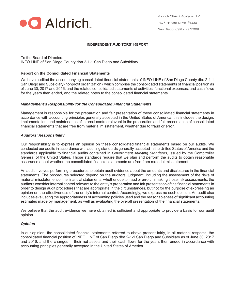

## **INDEPENDENT AUDITORS' REPORT**

To the Board of Directors INFO LINE of San Diego County dba 2-1-1 San Diego and Subsidiary

## **Report on the Consolidated Financial Statements**

We have audited the accompanying consolidated financial statements of INFO LINE of San Diego County dba 2-1-1 San Diego and Subsidiary (nonprofit organization) which comprise the consolidated statements of financial position as of June 30, 2017 and 2016, and the related consolidated statements of activities, functional expenses, and cash flows for the years then ended, and the related notes to the consolidated financial statements.

## *Management's Responsibility for the Consolidated Financial Statements*

Management is responsible for the preparation and fair presentation of these consolidated financial statements in accordance with accounting principles generally accepted in the United States of America; this includes the design, implementation, and maintenance of internal control relevant to the preparation and fair presentation of consolidated financial statements that are free from material misstatement, whether due to fraud or error.

## *Auditors' Responsibility*

Our responsibility is to express an opinion on these consolidated financial statements based on our audits. We conducted our audits in accordance with auditing standards generally accepted in the United States of America and the standards applicable to financial audits contained in Government Auditing Standards, issued by the Comptroller General of the United States. Those standards require that we plan and perform the audits to obtain reasonable assurance about whether the consolidated financial statements are free from material misstatement.

An audit involves performing procedures to obtain audit evidence about the amounts and disclosures in the financial statements. The procedures selected depend on the auditors' judgment, including the assessment of the risks of material misstatement of the financial statements, whether due to fraud or error. In making those risk assessments, the auditors consider internal control relevant to the entity's preparation and fair presentation of the financial statements in order to design audit procedures that are appropriate in the circumstances, but not for the purpose of expressing an opinion on the effectiveness of the entity's internal control. Accordingly, we express no such opinion. An audit also includes evaluating the appropriateness of accounting policies used and the reasonableness of significant accounting estimates made by management, as well as evaluating the overall presentation of the financial statements.

We believe that the audit evidence we have obtained is sufficient and appropriate to provide a basis for our audit opinion.

## *Opinion*

In our opinion, the consolidated financial statements referred to above present fairly, in all material respects, the consolidated financial position of INFO LINE of San Diego dba 2-1-1 San Diego and Subsidiary as of June 30, 2017 and 2016, and the changes in their net assets and their cash flows for the years then ended in accordance with accounting principles generally accepted in the United States of America.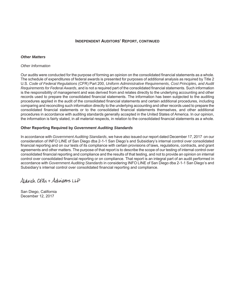## **INDEPENDENT AUDITORS' REPORT, CONTINUED**

#### **Other Matters**

#### Other Information

Our audits were conducted for the purpose of forming an opinion on the consolidated financial statements as a whole. The schedule of expenditures of federal awards is presented for purposes of additional analysis as required by Title 2 U.S. Code of Federal Regulations (CFR) Part 200, Uniform Administrative Reguirements, Cost Principles, and Audit Requirements for Federal Awards, and is not a required part of the consolidated financial statements. Such information is the responsibility of management and was derived from and relates directly to the underlying accounting and other records used to prepare the consolidated financial statements. The information has been subjected to the auditing procedures applied in the audit of the consolidated financial statements and certain additional procedures, including comparing and reconciling such information directly to the underlying accounting and other records used to prepare the consolidated financial statements or to the consolidated financial statements themselves, and other additional procedures in accordance with auditing standards generally accepted in the United States of America. In our opinion, the information is fairly stated, in all material respects, in relation to the consolidated financial statements as a whole.

## Other Reporting Required by Government Auditing Standards

In accordance with Government Auditing Standards, we have also issued our report dated December 17, 2017 on our consideration of INFO LINE of San Diego dba 2-1-1 San Diego's and Subsidiary's internal control over consolidated financial reporting and on our tests of its compliance with certain provisions of laws, regulations, contracts, and grant agreements and other matters. The purpose of that report is to describe the scope of our testing of internal control over consolidated financial reporting and compliance and the results of that testing, and not to provide an opinion on internal control over consolidated financial reporting or on compliance. That report is an integral part of an audit performed in accordance with Government Auditing Standards in considering INFO LINE of San Diego dba 2-1-1 San Diego's and Subsidiary's internal control over consolidated financial reporting and compliance.

Aldrich CPAs + Adrisons LLP

San Diego, California December 12, 2017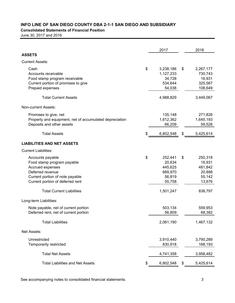**Consolidated Statements of Financial Position** 

June 30, 2017 and 2016

|                                                                                                                                                               | 2017                                                              | 2016                                                             |
|---------------------------------------------------------------------------------------------------------------------------------------------------------------|-------------------------------------------------------------------|------------------------------------------------------------------|
| <b>ASSETS</b>                                                                                                                                                 |                                                                   |                                                                  |
| <b>Current Assets:</b>                                                                                                                                        |                                                                   |                                                                  |
| Cash<br>Accounts receivable<br>Food stamp program receivable<br>Current portion of promises to give<br>Prepaid expenses                                       | \$<br>3,238,186<br>1,127,233<br>34,728<br>534,644<br>54,038       | \$<br>2,267,177<br>730,743<br>16,931<br>325,567<br>108,649       |
| <b>Total Current Assets</b>                                                                                                                                   | 4,988,829                                                         | 3,449,067                                                        |
| Non-current Assets:                                                                                                                                           |                                                                   |                                                                  |
| Promises to give, net<br>Property and equipment, net of accumulated depreciation<br>Deposits and other assets                                                 | 135,148<br>1,612,362<br>66,209                                    | 271,826<br>1,645,193<br>59,528                                   |
| <b>Total Assets</b>                                                                                                                                           | \$<br>6,802,548                                                   | \$<br>5,425,614                                                  |
| <b>LIABILITIES AND NET ASSETS</b>                                                                                                                             |                                                                   |                                                                  |
| <b>Current Liabilities:</b>                                                                                                                                   |                                                                   |                                                                  |
| Accounts payable<br>Food stamp program payable<br>Accrued expenses<br>Deferred revenue<br>Current portion of note payable<br>Current portion of deferred rent | \$<br>252,441<br>20,634<br>445,625<br>669,970<br>56,819<br>55,758 | \$<br>250,318<br>16,931<br>481,842<br>20,888<br>55,142<br>13,676 |
| <b>Total Current Liabilities</b>                                                                                                                              | 1,501,247                                                         | 838,797                                                          |
| Long-term Liabilities:                                                                                                                                        |                                                                   |                                                                  |
| Note payable, net of current portion<br>Deferred rent, net of current portion                                                                                 | 503,134<br>56,809                                                 | 559,953<br>68,382                                                |
| <b>Total Liabilities</b>                                                                                                                                      | 2,061,190                                                         | 1,467,132                                                        |
| <b>Net Assets:</b>                                                                                                                                            |                                                                   |                                                                  |
| Unrestricted<br>Temporarily restricted                                                                                                                        | 3,910,440<br>830,918                                              | 3,790,289<br>168,193                                             |
| <b>Total Net Assets</b>                                                                                                                                       | 4,741,358                                                         | 3,958,482                                                        |
| <b>Total Liabilities and Net Assets</b>                                                                                                                       | \$<br>6,802,548                                                   | \$<br>5,425,614                                                  |

See accompanying notes to consolidated financial statements. **3** 3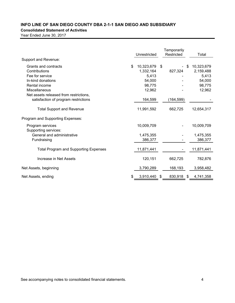## **Consolidated Statement of Activities**

Year Ended June 30, 2017

|                                              | Unrestricted     | Temporarily<br>Restricted | Total            |
|----------------------------------------------|------------------|---------------------------|------------------|
| Support and Revenue:                         |                  |                           |                  |
| Grants and contracts                         | \$<br>10,323,679 | \$                        | \$<br>10,323,679 |
| Contributions                                | 1,332,164        | 827,324                   | 2,159,488        |
| Fee for service                              | 5,413            |                           | 5,413            |
| In-kind donations                            | 54,000           |                           | 54,000           |
| Rental income                                | 98,775           |                           | 98,775           |
| Miscellaneous                                | 12,962           |                           | 12,962           |
| Net assets released from restrictions,       |                  |                           |                  |
| satisfaction of program restrictions         | 164,599          | (164, 599)                |                  |
| <b>Total Support and Revenue</b>             | 11,991,592       | 662,725                   | 12,654,317       |
| Program and Supporting Expenses:             |                  |                           |                  |
| Program services                             | 10,009,709       |                           | 10,009,709       |
| Supporting services:                         |                  |                           |                  |
| General and administrative                   | 1,475,355        |                           | 1,475,355        |
| Fundraising                                  | 386,377          |                           | 386,377          |
|                                              |                  |                           | 11,871,441       |
| <b>Total Program and Supporting Expenses</b> | 11,871,441       |                           |                  |
| Increase in Net Assets                       | 120,151          | 662,725                   | 782,876          |
| Net Assets, beginning                        | 3,790,289        | 168,193                   | 3,958,482        |
| Net Assets, ending                           | 3,910,440        | \$<br>830,918             | \$<br>4,741,358  |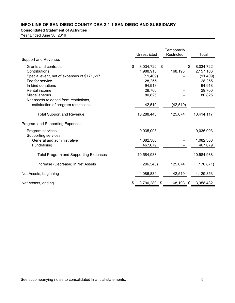## **Consolidated Statement of Activities**

Year Ended June 30, 2016

|                                              | Unrestricted    |      | Temporarily<br>Restricted | Total           |
|----------------------------------------------|-----------------|------|---------------------------|-----------------|
| Support and Revenue:                         |                 |      |                           |                 |
| Grants and contracts                         | \$<br>8,034,722 | - \$ |                           | \$<br>8,034,722 |
| Contributions                                | 1,988,913       |      | 168,193                   | 2,157,106       |
| Special event, net of expenses of \$171,697  | (11, 409)       |      |                           | (11, 409)       |
| Fee for service                              | 28,255          |      |                           | 28,255          |
| In-kind donations                            | 94,918          |      |                           | 94,918          |
| Rental income                                | 29,700          |      |                           | 29,700          |
| Miscellaneous                                | 80,825          |      |                           | 80,825          |
| Net assets released from restrictions,       |                 |      |                           |                 |
| satisfaction of program restrictions         | 42,519          |      | (42,519)                  |                 |
| <b>Total Support and Revenue</b>             | 10,288,443      |      | 125,674                   | 10,414,117      |
| Program and Supporting Expenses:             |                 |      |                           |                 |
| Program services                             | 9,035,003       |      |                           | 9,035,003       |
| Supporting services:                         |                 |      |                           |                 |
| General and administrative                   | 1,082,306       |      |                           | 1,082,306       |
| Fundraising                                  | 467,679         |      |                           | 467,679         |
| <b>Total Program and Supporting Expenses</b> | 10,584,988      |      |                           | 10,584,988      |
| Increase (Decrease) in Net Assets            | (296, 545)      |      | 125,674                   | (170, 871)      |
| Net Assets, beginning                        | 4,086,834       |      | 42,519                    | 4,129,353       |
| Net Assets, ending                           | \$<br>3,790,289 | \$   | 168,193                   | \$<br>3,958,482 |

See accompanying notes to consolidated financial statements. See accompanying notes to consolidated financial statements.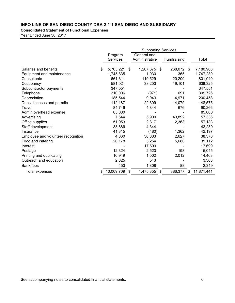## **Consolidated Statement of Functional Expenses**

Year Ended June 30, 2017

|                                    |    | <b>Supporting Services</b> |    |                |    |             |     |            |
|------------------------------------|----|----------------------------|----|----------------|----|-------------|-----|------------|
|                                    |    | Program                    |    | General and    |    |             |     |            |
|                                    |    | Services                   |    | Administrative |    | Fundraising |     | Total      |
|                                    |    |                            |    |                |    |             |     |            |
| Salaries and benefits              | \$ | 5,705,221                  | \$ | 1,207,675      | \$ | 268,072     | -\$ | 7,180,968  |
| Equipment and maintenance          |    | 1,745,835                  |    | 1,030          |    | 365         |     | 1,747,230  |
| Consultants                        |    | 661,311                    |    | 119,529        |    | 20,200      |     | 801,040    |
| Occupancy                          |    | 581,021                    |    | 38,203         |    | 19,101      |     | 638,325    |
| Subcontractor payments             |    | 347,551                    |    |                |    |             |     | 347,551    |
| Telephone                          |    | 310,006                    |    | (971)          |    | 691         |     | 309,726    |
| Depreciation                       |    | 185,544                    |    | 9,943          |    | 4,971       |     | 200,458    |
| Dues, licenses and permits         |    | 112,187                    |    | 22,309         |    | 14,079      |     | 148,575    |
| Travel                             |    | 84,746                     |    | 4,844          |    | 676         |     | 90,266     |
| Admin overhead expense             |    | 85,000                     |    |                |    |             |     | 85,000     |
| Advertising                        |    | 7,544                      |    | 5,900          |    | 43,892      |     | 57,336     |
| Office supplies                    |    | 51,953                     |    | 2,817          |    | 2,363       |     | 57,133     |
| Staff development                  |    | 38,886                     |    | 4,344          |    |             |     | 43,230     |
| Insurance                          |    | 41,315                     |    | (480)          |    | 1,362       |     | 42,197     |
| Employee and volunteer recognition |    | 4,860                      |    | 30,883         |    | 2,627       |     | 38,370     |
| Food and catering                  |    | 20,178                     |    | 5,254          |    | 5,680       |     | 31,112     |
| Interest                           |    |                            |    | 17,699         |    |             |     | 17,699     |
| Postage                            |    | 12,324                     |    | 2,523          |    | 198         |     | 15,045     |
| Printing and duplicating           |    | 10,949                     |    | 1,502          |    | 2,012       |     | 14,463     |
| Outreach and education             |    | 2,825                      |    | 543            |    |             |     | 3,368      |
| <b>Bank fees</b>                   |    | 453                        |    | 1,808          |    | 88          |     | 2,349      |
| Total expenses                     | S  | 10,009,709                 | \$ | 1,475,355      | \$ | 386,377     | \$  | 11,871,441 |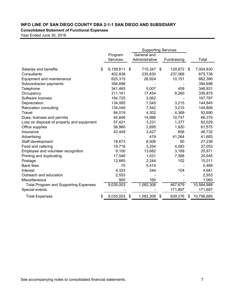## **Consolidated Statement of Functional Expenses**

Year Ended June 30, 2016

|                                              |    |                 | <b>Supporting Services</b> |    |             |    |            |
|----------------------------------------------|----|-----------------|----------------------------|----|-------------|----|------------|
|                                              |    | Program         | General and                |    |             |    |            |
|                                              |    | <b>Services</b> | Administrative             |    | Fundraising |    | Total      |
|                                              |    |                 |                            |    |             |    |            |
| Salaries and benefits                        | \$ | 6,159,611       | \$<br>715,347              | \$ | 129,872     | \$ | 7,004,830  |
| Consultants                                  |    | 402,838         | 235,830                    |    | 237,068     |    | 875,736    |
| Equipment and maintenance                    |    | 625,315         | 26,924                     |    | 10,151      |    | 662,390    |
| Subcontractor payments                       |    | 394,698         |                            |    |             |    | 394,698    |
| Telephone                                    |    | 341,465         | 5,007                      |    | 459         |    | 346,931    |
| Occupancy                                    |    | 311,161         | 17,454                     |    | 8,260       |    | 336,875    |
| Software licenses                            |    | 164,725         | 3,062                      |    |             |    | 167,787    |
| Depreciation                                 |    | 134,085         | 7,545                      |    | 3,215       |    | 144,845    |
| Relocation consulting                        |    | 134,049         | 7,542                      |    | 3,215       |    | 144,806    |
| Travel                                       |    | 84,019          | 4,302                      |    | 4,369       |    | 92,690     |
| Dues, licenses and permits                   |    | 40,646          | 14,986                     |    | 10,747      |    | 66,379     |
| Loss on disposal of property and equipment   |    | 57,421          | 3,231                      |    | 1,377       |    | 62,029     |
| Office supplies                              |    | 56,960          | 2,695                      |    | 1,920       |    | 61,575     |
| Insurance                                    |    | 42,449          | 3,427                      |    | 856         |    | 46,732     |
| Advertising                                  |    |                 | 419                        |    | 41,264      |    | 41,683     |
| Staff development                            |    | 18,673          | 8,506                      |    | 60          |    | 27,239     |
| Food and catering                            |    | 19,716          | 3,254                      |    | 4,083       |    | 27,053     |
| Employee and volunteer recognition           |    | 9,100           | 13,682                     |    | 3,189       |    | 25,971     |
| Printing and duplicating                     |    | 17,546          | 1,031                      |    | 7,368       |    | 25,945     |
| Postage                                      |    | 12,665          | 2,244                      |    | 102         |    | 15,011     |
| <b>Bank fees</b>                             |    | 75              | 5,414                      |    |             |    | 5,489      |
| Interest                                     |    | 4,333           | 244                        |    | 104         |    | 4,681      |
| Outreach and education                       |    | 2,553           |                            |    |             |    | 2,553      |
| Miscellaneous                                |    | 900             | 160                        |    |             |    | 1,060      |
| <b>Total Program and Supporting Expenses</b> |    | 9,035,003       | 1,082,306                  |    | 467,679     |    | 10,584,988 |
| Special events                               |    |                 |                            |    | 171,697     |    | 171,697    |
| <b>Total Expenses</b>                        | S  | 9,035,003       | \$<br>1,082,306            | \$ | 639,376     |    | 10,756,685 |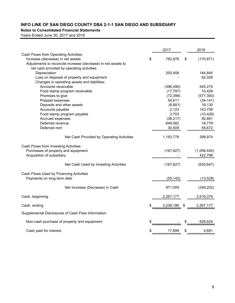## **Notes to Consolidated Financial Statements**

Years Ended June 30, 2017 and 2016

|                                                               | 2017                |    | 2016                |
|---------------------------------------------------------------|---------------------|----|---------------------|
| Cash Flows from Operating Activities:                         |                     |    |                     |
| Increase (decrease) in net assets                             | \$<br>782,876       | \$ | (170, 871)          |
| Adjustments to reconcile increase (decrease) in net assets to |                     |    |                     |
| net cash provided by operating activities:                    |                     |    |                     |
| Depreciation                                                  | 200,458             |    | 144,845             |
| Loss on disposal of property and equipment                    |                     |    | 62,029              |
| Changes in operating assets and liabilities:                  |                     |    |                     |
| Accounts receivable                                           | (396, 490)          |    | 545,274             |
| Food stamp program receivable                                 | (17, 797)           |    | 10,428              |
| Promises to give<br>Prepaid expenses                          | (72, 399)<br>54,611 |    | (577, 393)          |
| Deposits and other assets                                     | (6,681)             |    | (34, 141)<br>19,130 |
| Accounts payable                                              | 2,123               |    | 143,759             |
| Food stamp program payable                                    | 3,703               |    | (10, 428)           |
| Accrued expenses                                              | (36, 217)           |    | 92,891              |
| Deferred revenue                                              | 649,082             |    | 18,779              |
| Deferred rent                                                 | 30,509              |    | 55,672              |
|                                                               |                     |    |                     |
| Net Cash Provided by Operating Activities                     | 1,193,778           |    | 299,974             |
| Cash Flows from Investing Activities:                         |                     |    |                     |
| Purchases of property and equipment                           | (167, 627)          |    | (1,058,445)         |
| Acquisition of subsidiary                                     |                     |    | 422,798             |
|                                                               |                     |    |                     |
| Net Cash Used by Investing Activities                         | (167, 627)          |    | (635, 647)          |
| Cash Flows Used by Financing Activities                       |                     |    |                     |
| Payments on long term debt                                    | (55, 142)           |    | (13, 529)           |
| Net Increase (Decrease) in Cash                               | 971,009             |    | (349, 202)          |
| Cash, beginning                                               | 2,267,177           |    | 2,616,379           |
| Cash, ending                                                  | \$<br>3,238,186     | S. | 2,267,177           |
| Supplemental Disclosures of Cash Flow Information:            |                     |    |                     |
| Non-cash purchase of property and equipment                   | \$                  | \$ | 628,624             |
|                                                               |                     |    |                     |
| Cash paid for interest                                        | \$<br>17,699        | \$ | 4,681               |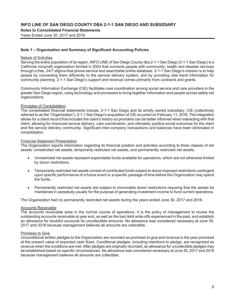**Notes to Consolidated Financial Statements** 

Years Ended June 30, 2017 and 2016

## Note 1 - Organization and Summary of Significant Accounting Policies

#### **Nature of Activities**

Serving the entire population of its region, INFO LINE of San Diego County dba 2-1-1 San Diego (2-1-1 San Diego) is a California nonprofit organization formed in 2003 that connects people with community, health and disaster services through a free, 24/7 stigma-free phone service and searchable online database. 2-1-1 San Diego's mission is to help people by connecting them efficiently to the service delivery system, and by providing vital trend information for community planning. 2-1-1 San Diego's support and revenue comes primarily from contracts and grants.

Community Information Exchange (CIE) facilitates care coordination among social service and care providers in the greater San Diego region, using technology and processes to bring together information and people across safety net organizations.

## Principles of Consolidation

The consolidated financial statements include, 2-1-1 San Diego and its wholly owned subsidiary, CIE (collectively referred to as the "Organization"). 2-1-1 San Diego's acquisition of CIE occurred on February 11, 2016. The integration allows for a client record that includes the client's history so providers can be better informed when interacting with that client, allowing for improved service delivery, care coordination, and ultimately positive social outcomes for the client and the service delivery community. Significant inter-company transactions and balances have been eliminated in consolidation.

## **Financial Statement Presentation**

The Organization reports information regarding its financial position and activities according to three classes of net assets: unrestricted net assets, temporarily restricted net assets, and permanently restricted net assets.

- Unrestricted net assets represent expendable funds available for operations, which are not otherwise limited  $\bullet$ by donor restrictions.
- Temporarily restricted net assets consist of contributed funds subject to donor-imposed restrictions contingent upon specific performance of a future event or a specific passage of time before the Organization may spend the funds.
- Permanently restricted net assets are subject to irrevocable donor restrictions requiring that the assets be maintained in perpetuity usually for the purpose of generating investment income to fund current operations.

The Organization had no permanently restricted net assets during the years ended June 30, 2017 and 2016.

## **Accounts Receivable**

The accounts receivable arise in the normal course of operations. It is the policy of management to review the outstanding accounts receivable at year end, as well as the bad debt write-offs experienced in the past, and establish an allowance for doubtful accounts for uncollectible amounts. No allowance was considered necessary at June 30, 2017 and 2016 because management believes all amounts are collectible.

## Promises to Give

Unconditional written pledges to the Organization are recorded as promises to give and revenue in the year promised at the present value of expected cash flows. Conditional pledges, including intentions to pledge, are recognized as revenue when the conditions are met. After pledges are originally recorded, an allowance for uncollectible pledges may be established based on specific circumstances. No allowance was considered necessary at June 30, 2017 and 2016 because management believes all amounts are collectible.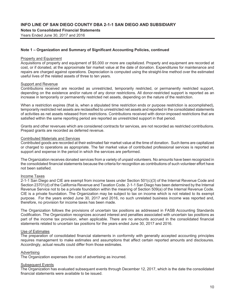**Notes to Consolidated Financial Statements** Years Ended June 30, 2017 and 2016

#### Note 1 – Organization and Summary of Significant Accounting Policies, continued

#### **Property and Equipment**

Acquisitions of property and equipment of \$5,000 or more are capitalized. Property and equipment are recorded at cost, or if donated, at the approximate fair market value at the date of donation. Expenditures for maintenance and repairs are charged against operations. Depreciation is computed using the straight-line method over the estimated useful lives of the related assets of three to ten years.

#### Support and Revenue

Contributions received are recorded as unrestricted, temporarily restricted, or permanently restricted support, depending on the existence and/or nature of any donor restrictions. All donor-restricted support is reported as an increase in temporarily or permanently restricted net assets, depending on the nature of the restriction.

When a restriction expires (that is, when a stipulated time restriction ends or purpose restriction is accomplished), temporarily restricted net assets are reclassified to unrestricted net assets and reported in the consolidated statements of activities as net assets released from restrictions. Contributions received with donor-imposed restrictions that are satisfied within the same reporting period are reported as unrestricted support in that period.

Grants and other revenues which are considered contracts for services, are not recorded as restricted contributions. Prepaid grants are recorded as deferred revenue.

#### **Contributed Materials and Services**

Contributed goods are recorded at their estimated fair market value at the time of donation. Such items are capitalized or charged to operations as appropriate. The fair market value of contributed professional services is reported as support and expense in the period in which the services are performed.

The Organization receives donated services from a variety of unpaid volunteers. No amounts have been recognized in the consolidated financial statements because the criteria for recognition as contributions of such volunteer effort have not been satisfied.

#### **Income Taxes**

2-1-1 San Diego and CIE are exempt from income taxes under Section 501(c)(3) of the Internal Revenue Code and Section 23701(d) of the California Revenue and Taxation Code. 2-1-1 San Diego has been determined by the Internal Revenue Service not to be a private foundation within the meaning of Section 509(a) of the Internal Revenue Code. CIE is a private foundation. The Organization may be subject to tax on income which is not related to its exempt purpose. For the years ended June 30, 2017 and 2016, no such unrelated business income was reported and, therefore, no provision for income taxes has been made.

The Organization follows the provisions of uncertain tax positions as addressed in FASB Accounting Standards Codification. The Organization recognizes accrued interest and penalties associated with uncertain tax positions as part of the income tax provision, when applicable. There are no amounts accrued in the consolidated financial statements related to uncertain tax positions for the years ended June 30, 2017 and 2016.

#### Use of Estimates

The preparation of consolidated financial statements in conformity with generally accepted accounting principles requires management to make estimates and assumptions that affect certain reported amounts and disclosures. Accordingly, actual results could differ from those estimates.

## Advertising

The Organization expenses the cost of advertising as incurred.

## **Subsequent Events**

The Organization has evaluated subsequent events through December 12, 2017, which is the date the consolidated financial statements were available to be issued.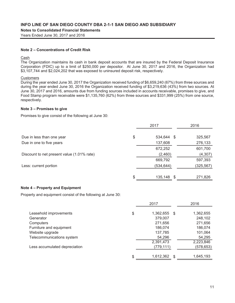**Notes to Consolidated Financial Statements** 

Years Ended June 30, 2017 and 2016

## **Note 2 - Concentrations of Credit Risk**

Cash

The Organization maintains its cash in bank deposit accounts that are insured by the Federal Deposit Insurance Corporation (FDIC) up to a limit of \$250,000 per depositor. At June 30, 2017 and 2016, the Organization had \$3,107,744 and \$2,024,202 that was exposed to uninsured deposit risk, respectively.

## **Customers**

During the year ended June 30, 2017 the Organization received funding of \$6,659,240 (67%) from three sources and during the year ended June 30, 2016 the Organization received funding of \$3,219,636 (43%) from two sources. At June 30, 2017 and 2016, amounts due from funding sources included in accounts receivable, promises to give, and Food Stamp program receivable were \$1,135,760 (62%) from three sources and \$331,999 (25%) from one source. respectively.

## Note 3 - Promises to give

Promises to give consist of the following at June 30:

|                                            |    |           | 2016 |           |  |
|--------------------------------------------|----|-----------|------|-----------|--|
| Due in less than one year                  | \$ | 534,644   | - \$ | 325,567   |  |
| Due in one to five years                   |    | 137,608   |      | 276,133   |  |
|                                            |    | 672,252   |      | 601,700   |  |
| Discount to net present value (1.01% rate) |    | (2,460)   |      | (4, 307)  |  |
|                                            |    | 669,792   |      | 597,393   |  |
| Less: current portion                      |    | (534,644) |      | (325,567) |  |
|                                            | S  | 135,148   | - \$ | 271,826   |  |

## Note 4 - Property and Equipment

Property and equipment consist of the following at June 30:

|                               | 2017                    | 2016       |
|-------------------------------|-------------------------|------------|
| Leasehold improvements        | \$<br>1,362,655<br>- \$ | 1,362,655  |
| Generator                     | 379,007                 | 248,102    |
| Computers                     | 271,656                 | 271,656    |
| Furniture and equipment       | 186,074                 | 186,074    |
| Website upgrade               | 137,785                 | 101,064    |
| Telecommunications system     | 54,296                  | 54,295     |
|                               | 2,391,473               | 2,223,846  |
| Less accumulated depreciation | (779,111)               | (578, 653) |
|                               | \$<br>1,612,362         | 1,645,193  |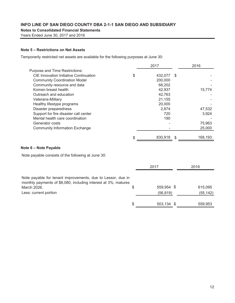Notes to Consolidated Financial Statements

Years Ended June 30, 2017 and 2016

## Note 5 - Restrictions on Net Assets

Temporarily restricted net assets are available for the following purposes at June 30:

|                                                                                                                               | 2017             | 2016          |
|-------------------------------------------------------------------------------------------------------------------------------|------------------|---------------|
| Purpose and Time Restrictions:                                                                                                |                  |               |
| <b>CIE Innovation Initiative Continuation</b>                                                                                 | \$<br>432,077    | \$            |
| <b>Community Coordination Model</b>                                                                                           | 200,000          |               |
| Community resource and data                                                                                                   | 68,202           |               |
| Komen breast health                                                                                                           | 42,937           | 15,774        |
| Outreach and education                                                                                                        | 42,763           |               |
| <b>Veterans-Military</b>                                                                                                      | 21,155           |               |
| Healthy lifestype programs                                                                                                    | 20,000           |               |
| Disaster preparedness                                                                                                         | 2,874            | 47,532        |
| Support for fire disaster call center                                                                                         | 720              | 3,924         |
| Mental health care coordination                                                                                               | 190              |               |
| Generator costs                                                                                                               |                  | 75,963        |
| <b>Community Information Exchange</b>                                                                                         |                  | 25,000        |
|                                                                                                                               |                  |               |
|                                                                                                                               | \$<br>830,918    | \$<br>168,193 |
| Note 6 - Note Payable                                                                                                         |                  |               |
| Note payable consists of the following at June 30:                                                                            |                  |               |
|                                                                                                                               | 2017             | 2016          |
|                                                                                                                               |                  |               |
| Note payable for tenant improvements, due to Lessor, due in<br>monthly payments of \$6,080, including interest at 3%, matures |                  |               |
| March 2026.                                                                                                                   | \$<br>559,954 \$ | 615,095       |
| Less: current portion                                                                                                         | (56, 819)        | (55,142)      |

| \$<br>503,134 \$ | 559,953 |
|------------------|---------|
|                  |         |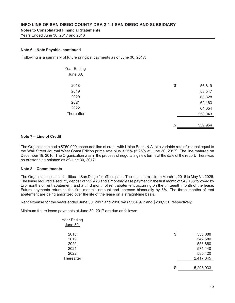**Notes to Consolidated Financial Statements** 

Years Ended June 30, 2017 and 2016

## Note 6 - Note Payable, continued

Following is a summary of future principal payments as of June 30, 2017:

| Year Ending |               |
|-------------|---------------|
| June 30,    |               |
|             |               |
| 2018        | \$<br>56,819  |
| 2019        | 58,547        |
| 2020        | 60,328        |
| 2021        | 62,163        |
| 2022        | 64,054        |
| Thereafter  | 258,043       |
|             |               |
|             | \$<br>559,954 |
|             |               |

## Note 7 - Line of Credit

The Organization had a \$750,000 unsecured line of credit with Union Bank, N.A. at a variable rate of interest equal to the Wall Street Journal West Coast Edition prime rate plus 3.25% (5.25% at June 30, 2017). The line matured on December 19, 2016. The Organization was in the process of negotiating new terms at the date of the report. There was no outstanding balance as of June 30, 2017.

## Note 8 - Commitments

The Organization leases facilities in San Diego for office space. The lease term is from March 1, 2016 to May 31, 2026. The lease required a security deposit of \$52,428 and a monthly lease payment in the first month of \$43,133 followed by two months of rent abatement, and a third month of rent abatement occurring on the thirteenth month of the lease. Future payments return to the first month's amount and increase biannually by 5%. The three months of rent abatement are being amortized over the life of the lease on a straight-line basis.

Rent expense for the years ended June 30, 2017 and 2016 was \$504,972 and \$288,531, respectively.

Minimum future lease payments at June 30, 2017 are due as follows:

| Year Ending<br>June 30, |                 |
|-------------------------|-----------------|
| 2018                    | \$<br>530,088   |
| 2019                    | 542,580         |
| 2020                    | 556,860         |
| 2021                    | 571,140         |
| 2022                    | 585,420         |
| Thereafter              | 2,417,845       |
|                         |                 |
|                         | \$<br>5,203,933 |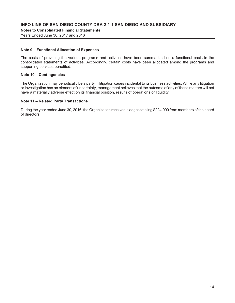**Notes to Consolidated Financial Statements** 

Years Ended June 30, 2017 and 2016

## Note 9 - Functional Allocation of Expenses

The costs of providing the various programs and activities have been summarized on a functional basis in the consolidated statements of activities. Accordingly, certain costs have been allocated among the programs and supporting services benefited.

## Note 10 - Contingencies

The Organization may periodically be a party in litigation cases incidental to its business activities. While any litigation or investigation has an element of uncertainty, management believes that the outcome of any of these matters will not have a materially adverse effect on its financial position, results of operations or liquidity.

## Note 11 - Related Party Transactions

During the year ended June 30, 2016, the Organization received pledges totaling \$224,000 from members of the board of directors.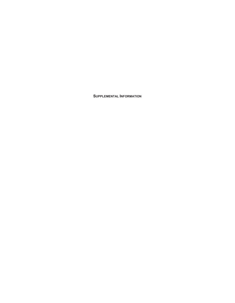**SUPPLEMENTAL INFORMATION**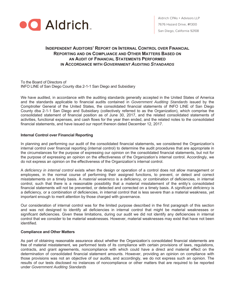

## **INDEPENDENT AUDITORS' REPORT ON INTERNAL CONTROL OVER FINANCIAL REPORTING AND ON COMPLIANCE AND OTHER MATTERS BASED ON** AN AUDIT OF FINANCIAL STATEMENTS PERFORMED IN ACCORDANCE WITH GOVERNMENT AUDITING STANDARDS

To the Board of Directors of INFO LINE of San Diego County dba 2-1-1 San Diego and Subsidiary

We have audited, in accordance with the auditing standards generally accepted in the United States of America and the standards applicable to financial audits contained in Government Auditing Standards issued by the Comptroller General of the United States, the consolidated financial statements of INFO LINE of San Diego County dba 2-1-1 San Diego and Subsidiary (collectively referred to as the Organization), which comprise the consolidated statement of financial position as of June 30, 2017, and the related consolidated statements of activities, functional expenses, and cash flows for the year then ended, and the related notes to the consolidated financial statements, and have issued our report thereon dated December 12, 2017.

## **Internal Control over Financial Reporting**

In planning and performing our audit of the consolidated financial statements, we considered the Organization's internal control over financial reporting (internal control) to determine the audit procedures that are appropriate in the circumstances for the purpose of expressing our opinion on the consolidated financial statements, but not for the purpose of expressing an opinion on the effectiveness of the Organization's internal control. Accordingly, we do not express an opinion on the effectiveness of the Organization's internal control.

A deficiency in internal control exists when the design or operation of a control does not allow management or employees, in the normal course of performing their assigned functions, to prevent, or detect and correct misstatements on a timely basis. A material weakness is a deficiency, or combination of deficiencies, in internal control, such that there is a reasonable possibility that a material misstatement of the entity's consolidated financial statements will not be prevented, or detected and corrected on a timely basis. A significant deficiency is a deficiency, or a combination of deficiencies, in internal control that is less severe than a material weakness, yet important enough to merit attention by those charged with governance.

Our consideration of internal control was for the limited purpose described in the first paragraph of this section and was not designed to identify all deficiencies in internal control that might be material weaknesses or significant deficiencies. Given these limitations, during our audit we did not identify any deficiencies in internal control that we consider to be material weaknesses. However, material weaknesses may exist that have not been identified.

## **Compliance and Other Matters**

As part of obtaining reasonable assurance about whether the Organization's consolidated financial statements are free of material misstatement, we performed tests of its compliance with certain provisions of laws, regulations, contracts, and grant agreements, noncompliance with which could have a direct and material effect on the determination of consolidated financial statement amounts. However, providing an opinion on compliance with those provisions was not an objective of our audits, and accordingly, we do not express such an opinion. The results of our tests disclosed no instances of noncompliance or other matters that are required to be reported under Government Auditing Standards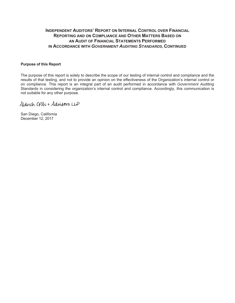## **INDEPENDENT AUDITORS' REPORT ON INTERNAL CONTROL OVER FINANCIAL REPORTING AND ON COMPLIANCE AND OTHER MATTERS BASED ON** AN AUDIT OF FINANCIAL STATEMENTS PERFORMED IN ACCORDANCE WITH GOVERNMENT AUDITING STANDARDS, CONTINUED

## **Purpose of this Report**

The purpose of this report is solely to describe the scope of our testing of internal control and compliance and the results of that testing, and not to provide an opinion on the effectiveness of the Organization's internal control or on compliance. This report is an integral part of an audit performed in accordance with Government Auditing Standards in considering the organization's internal control and compliance. Accordingly, this communication is not suitable for any other purpose.

Aldrich CPAs + Adrisons LLP

San Diego, California December 12, 2017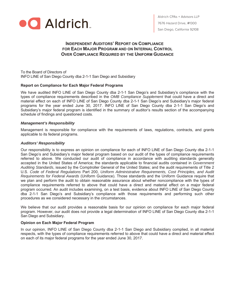

## **INDEPENDENT AUDITORS' REPORT ON COMPLIANCE FOR EACH MAJOR PROGRAM AND ON INTERNAL CONTROL 29 OVER COMPLIANCE REQUIRED BY THE UNIFORM GUIDANCE**

To the Board of Directors of INFO LINE of San Diego County dba 2-1-1 San Diego and Subsidiary

## **Report on Compliance for Each Major Federal Programs**

We have audited INFO LINE of San Diego County dba 2-1-1 San Diego's and Subsidiary's compliance with the types of compliance requirements described in the *OMB Compliance Supplement* that could have a direct and material effect on each of INFO LINE of San Diego County dba 2-1-1 San Diego's and Subsidiary's major federal programs for the year ended June 30, 2017. INFO LINE of San Diego County dba 2-1-1 San Diego's and Subsidiary's major federal program is identified in the summary of auditor's results section of the accompanying schedule of findings and questioned costs.

## *Management's Responsibility*

Management is responsible for compliance with the requirements of laws, regulations, contracts, and grants applicable to its federal programs.

#### *Auditors' Responsibility*

Our responsibility is to express an opinion on compliance for each of INFO LINE of San Diego County dba 2-1-1 San Diego's and Subsidiary's major federal program based on our audit of the types of compliance requirements referred to above. We conducted our audit of compliance in accordance with auditing standards generally accepted in the United States of America; the standards applicable to financial audits contained in Government Auditing Standards, issued by the Comptroller General of the United States; and the audit requirements of Title 2 U.S. Code of Federal Regulations Part 200, Uniform Administrative Requirements, Cost Principles, and Audit Requirements for Federal Awards (Uniform Guidance). Those standards and the Uniform Guidance require that we plan and perform the audit to obtain reasonable assurance about whether noncompliance with the types of compliance requirements referred to above that could have a direct and material effect on a major federal program occurred. An audit includes examining, on a test basis, evidence about INFO LINE of San Diego County dba 2-1-1 San Diego's and Subsidiary's compliance with those requirements and performing such other procedures as we considered necessary in the circumstances.

We believe that our audit provides a reasonable basis for our opinion on compliance for each major federal program. However, our audit does not provide a legal determination of INFO LINE of San Diego County dba 2-1-1 San Diego and Subsidiary.

## **2DB** Opinion on Each Major Federal Program

In our opinion, INFO LINE of San Diego County dba 2-1-1 San Diego and Subsidiary complied, in all material respects, with the types of compliance requirements referred to above that could have a direct and material effect on each of its major federal programs for the year ended June 30, 2017.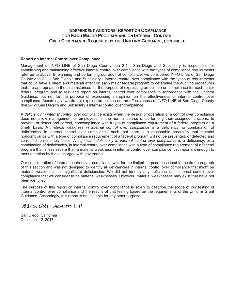## **INDEPENDENT AUDITORS' REPORT ON COMPLIANCE** FOR EACH MAJOR PROGRAM AND ON INTERNAL CONTROL **OVER COMPLIANCE REQUIRED BY THE UNIFORM GUIDANCE, CONTINUED**

## **Report on Internal Control over Compliance**

Management of INFO LINE of San Diego County dba 2-1-1 San Diego and Subsidiary is responsible for establishing and maintaining effective internal control over compliance with the types of compliance requirements referred to above. In planning and performing our audit of compliance, we considered INFO LINE of San Diego County dba 2-1-1 San Diego's and Subsidiary's internal control over compliance with the types of requirements that could have a direct and material effect on each major federal program to determine the auditing procedures that are appropriate in the circumstances for the purpose of expressing an opinion on compliance for each major federal program and to test and report on internal control over compliance in accordance with the Uniform Guidance, but not for the purpose of expressing an opinion on the effectiveness of internal control over compliance. Accordingly, we do not express an opinion on the effectiveness of INFO LINE of San Diego County dba 2-1-1 San Diego's and Subsidiary's internal control over compliance.

A deficiency in internal control over compliance exists when the design or operation of a control over compliance does not allow management or employees, in the normal course of performing their assigned functions, to prevent, or detect and correct, noncompliance with a type of compliance requirement of a federal program on a timely basis. A material weakness in internal control over compliance is a deficiency, or combination of deficiencies, in internal control over compliance, such that there is a reasonable possibility that material noncompliance with a type of compliance requirement of a federal program will not be prevented, or detected and corrected, on a timely basis. A significant deficiency in internal control over compliance is a deficiency, or a combination of deficiencies, in internal control over compliance with a type of compliance requirement of a federal program that is less severe than a material weakness in internal control over compliance, yet important enough to merit attention by those charged with governance.

Our consideration of internal control over compliance was for the limited purpose described in the first paragraph of this section and was not designed to identify all deficiencies in internal control over compliance that might be material weaknesses or significant deficiencies. We did not identify any deficiencies in internal control over compliance that we consider to be material weaknesses. However, material weaknesses may exist that have not been identified.

The purpose of this report on internal control over compliance is solely to describe the scope of our testing of internal control over compliance and the results of that testing based on the requirements of the Uniform Grant Guidance. Accordingly, this report is not suitable for any other purpose

Aldrich CPAs + Adrisons LLP

San Diego, California December 12, 2017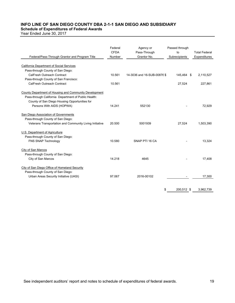**Schedule of Expenditures of Federal Awards** 

Year Ended June 30, 2017

| Federal/Pass-Through Grantor and Program Title                                                                                                                                               | Federal<br><b>CFDA</b><br>Number | Agency or<br>Pass-Through<br>Grantor No. | Passed through<br>to<br>Subrecipients | <b>Total Federal</b><br>Expenditures |
|----------------------------------------------------------------------------------------------------------------------------------------------------------------------------------------------|----------------------------------|------------------------------------------|---------------------------------------|--------------------------------------|
| <b>California Department of Social Services</b>                                                                                                                                              |                                  |                                          |                                       |                                      |
| Pass-through County of San Diego:                                                                                                                                                            |                                  |                                          |                                       |                                      |
| CalFresh Outreach Contract                                                                                                                                                                   | 10.561                           | 14-3036 and 16-SUB-00876 \$              | 145,464 \$                            | 2,110,527                            |
| Pass-through County of San Francisco:                                                                                                                                                        |                                  |                                          |                                       |                                      |
| CalFresh Outreach Contract                                                                                                                                                                   | 10.561                           |                                          | 27,524                                | 227,861                              |
| County Department of Housing and Community Development<br>Pass-through California Department of Public Health:<br>County of San Diego Housing Opportunities for<br>Persons With AIDS (HOPWA) | 14.241                           | 552130                                   |                                       | 72,929                               |
|                                                                                                                                                                                              |                                  |                                          |                                       |                                      |
| San Diego Association of Governments<br>Pass-through County of San Diego:<br>Veterans Transportation and Community Living Initiative                                                         | 20.500                           | 5001939                                  | 27,524                                | 1,503,390                            |
| U.S. Department of Agriculture<br>Pass-through County of San Diego:<br>FNS SNAP Technology                                                                                                   | 10.580                           | SNAP PTI 16 CA                           |                                       | 13,324                               |
| City of San Marcos                                                                                                                                                                           |                                  |                                          |                                       |                                      |
| Pass-through County of San Diego:                                                                                                                                                            |                                  |                                          |                                       |                                      |
| City of San Marcos                                                                                                                                                                           | 14.218                           | 4645                                     |                                       | 17,408                               |
| City of San Diego Office of Homeland Security<br>Pass-through County of San Diego:<br>Urban Areas Security Initiative (UASI)                                                                 | 97.067                           | 2016-00102                               |                                       | 17,300                               |
|                                                                                                                                                                                              |                                  | \$                                       | 200,512 \$                            | 3.962.739                            |

See independent auditors' report and notes to schedule of expenditures of federal awards. 19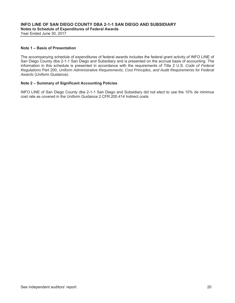#### Note 1 - Basis of Presentation

The accompanying schedule of expenditures of federal awards includes the federal grant activity of INFO LINE of San Diego County dba 2-1-1 San Diego and Subsidiary and is presented on the accrual basis of accounting. The information in this schedule is presented in accordance with the requirements of Title 2 U.S. Code of Federal *Regulations* Part 200, Uniform Administrative Requirements, Cost Principles, and Audit Requirements for Federal Awards (Uniform Guidance).

## Note 2 - Summary of Significant Accounting Policies

INFO LINE of San Diego County dba 2-1-1 San Diego and Subsidiary did not elect to use the 10% de minimus cost rate as covered in the Uniform Guidance 2.CFR.200.414 Indirect costs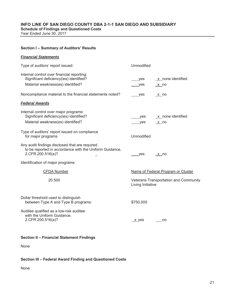## Section I - Summary of Auditors' Results

| <b>Financial Statements</b>                                                                                                    |                                                            |  |
|--------------------------------------------------------------------------------------------------------------------------------|------------------------------------------------------------|--|
| Type of auditors' report issued:                                                                                               | Unmodified                                                 |  |
| Internal control over financial reporting:<br>Significant deficiency(ies) identified?<br>Material weakness(es) identified?     | x none identified<br>yes<br>_yes<br><u>x</u> no            |  |
| Noncompliance material to the financial statements noted?                                                                      | yes<br>x no                                                |  |
| <b>Federal Awards</b>                                                                                                          |                                                            |  |
| Internal control over major programs:<br>Significant deficiency(ies) identified?<br>Material weakness(es) identified?          | x none identified<br>yes<br>yes<br>x no                    |  |
| Type of auditors' report issued on compliance<br>for major programs                                                            | Unmodified                                                 |  |
| Any audit findings disclosed that are required<br>to be reported in accordance with the Uniform Guidance,<br>2.CFR.200.516(a)? | yes<br>x no                                                |  |
| Identification of major programs:                                                                                              |                                                            |  |
| <b>CFDA Number</b>                                                                                                             | Name of Federal Program or Cluster                         |  |
| 20.500                                                                                                                         | Veterans Transportation and Community<br>Living Initiative |  |
| Dollar threshold used to distinguish<br>between Type A and Type B programs:                                                    | \$750,000                                                  |  |
| Auditee qualified as a low-risk auditee<br>with the Uniform Guidance,<br>2.CFR.200.516(a)?                                     | x yes<br>no                                                |  |

## **Section II - Financial Statement Findings**

None

## Section III - Federal Award Finding and Questioned Costs

None